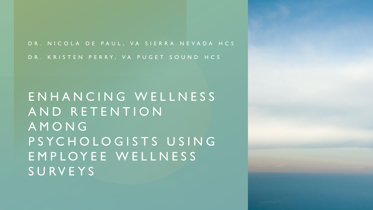D R . N I C O L A D E P A U L , V A S I E R R A N E V A D A H C S

D R . K R I S T E N P E R R Y , V A P U G E T S O U N D H C S

E N H A N C I N G W E L L N E S S A N D R E T E N T I O N A M O N G P S Y C H O L O G I S T S U S I N G E M P L O Y E E W E L L N E S S S U R V E Y S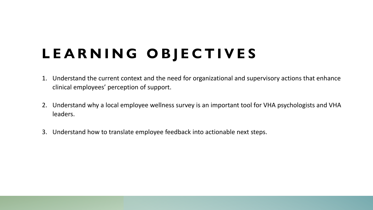# **L E A R N I N G O B J E C T I V E S**

- 1. Understand the current context and the need for organizational and supervisory actions that enhance clinical employees' perception of support.
- 2. Understand why a local employee wellness survey is an important tool for VHA psychologists and VHA leaders.
- 3. Understand how to translate employee feedback into actionable next steps.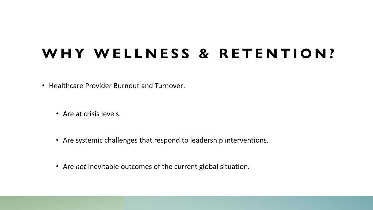### WHY WELLNESS & RETENTION?

• Healthcare Provider Burnout and Turnover:

- Are at crisis levels.
- Are systemic challenges that respond to leadership interventions.
- Are *not* inevitable outcomes of the current global situation.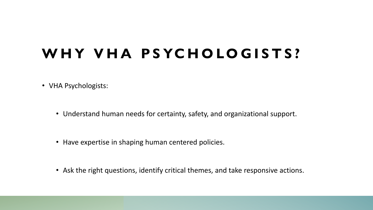## **W H Y V H A P S YC H O LO G I S T S ?**

- VHA Psychologists:
	- Understand human needs for certainty, safety, and organizational support.
	- Have expertise in shaping human centered policies.
	- Ask the right questions, identify critical themes, and take responsive actions.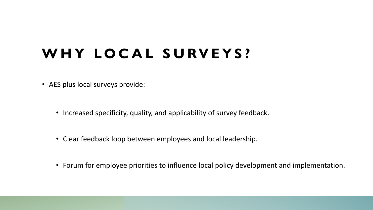## WHY LOCAL SURVEYS?

- AES plus local surveys provide:
	- Increased specificity, quality, and applicability of survey feedback.
	- Clear feedback loop between employees and local leadership.
	- Forum for employee priorities to influence local policy development and implementation.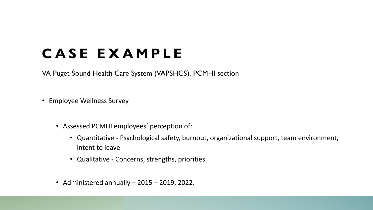### **C A S E E X A M P L E**

VA Puget Sound Health Care System (VAPSHCS), PCMHI section

- Employee Wellness Survey
	- Assessed PCMHI employees' perception of:
		- Quantitative Psychological safety, burnout, organizational support, team environment, intent to leave
		- Qualitative Concerns, strengths, priorities
	- Administered annually 2015 2019, 2022.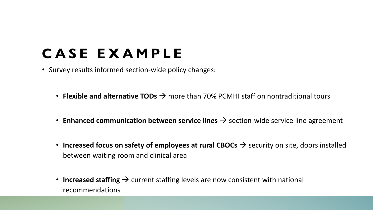## **C A S E E X A M P L E**

- Survey results informed section-wide policy changes:
	- **Flexible and alternative TODs →** more than 70% PCMHI staff on nontraditional tours
	- **Enhanced communication between service lines** → section-wide service line agreement
	- **Increased focus on safety of employees at rural CBOCs**  $\rightarrow$  security on site, doors installed between waiting room and clinical area
	- **Increased staffing →** current staffing levels are now consistent with national recommendations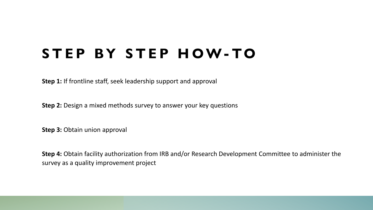#### **S T E P B Y S T E P H O W- TO**

**Step 1:** If frontline staff, seek leadership support and approval

**Step 2:** Design a mixed methods survey to answer your key questions

**Step 3: Obtain union approval** 

**Step 4:** Obtain facility authorization from IRB and/or Research Development Committee to administer the survey as a quality improvement project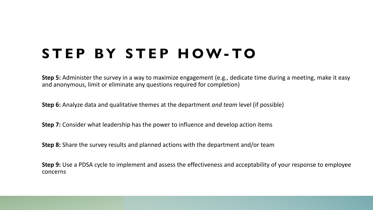### **S T E P B Y S T E P H O W- TO**

**Step 5:** Administer the survey in a way to maximize engagement (e.g., dedicate time during a meeting, make it easy and anonymous, limit or eliminate any questions required for completion)

**Step 6:** Analyze data and qualitative themes at the department *and team* level (if possible)

**Step 7:** Consider what leadership has the power to influence and develop action items

**Step 8:** Share the survey results and planned actions with the department and/or team

**Step 9:** Use a PDSA cycle to implement and assess the effectiveness and acceptability of your response to employee concerns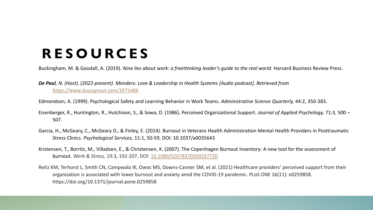### **R E S O U RC E S**

Buckingham, M. & Goodall, A. (2019). *Nine lies about work: a freethinking leader's quide to the real world.* Harvard Business Review Press.

*De Paul, N. (Host). (2022-present). Menders: Love & Leadership in Health Systems [Audio podcast]. Retrieved from <https://www.buzzsprout.com/1971466>*

- Edmondson, A. (1999). Psychological Safety and Learning Behavior in Work Teams. *Administrative Science Quarterly,* 44:2, 350-383.
- Eisenberger, R., Huntington, R., Hutchison, S., & Sowa, D. (1986). Perceived Organizational Support. *Journal of Applied Psychology,* 71:3, 500 507.
- Garcia, H., McGeary, C., McGeary D., & Finley, E. (2014). Burnout in Veterans Health Administration Mental Health Providers in Posttraumatic Stress Clinics. *Psychological Services,* 11:1, 50-59, DOI: 10.1037/a0035643
- Kristensen, T., Borritz, M., Villadsen, E., & Christensen, K. (2007). The Copenhagen Burnout Inventory: A new tool for the assessment of burnout. *Work & Stress,* 19:3, 192-207, DOI: [10.1080/02678370500297720](https://doi.org/10.1080/02678370500297720)
- Reitz KM, Terhorst L, Smith CN, Campwala IK, Owoc MS, Downs-Canner SM, et al. (2021) Healthcare providers' perceived support from their organization is associated with lower burnout and anxiety amid the COVID-19 pandemic. PLoS ONE 16(11): e0259858. https://doi.org/10.1371/journal.pone.0259858